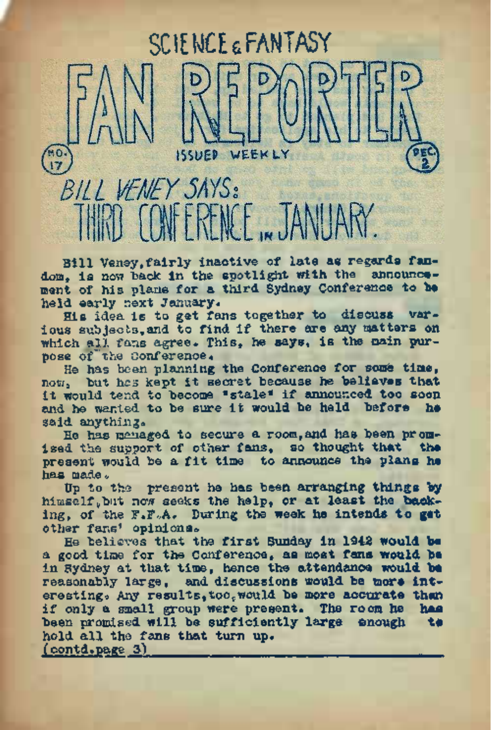# $\begin{pmatrix} 1 & 0 \\ 1 & 7 \end{pmatrix}$ BILL VENEY SAYS:

Bill Veney,fairly inactive of late as regards fandom, is now back in the spotlight with the announcement of his plans for a third Sydney Conference to be held early next January.

SCIE MCE & FANTASY

WEEKLY

His idea is to get fans together to discuss various subjects,and to find if there are any matters on which all fans agree. This, he says, is the main purpose of"'the Conference.

He has been planning the Conference for some time, now, but has kept it secret because he believes that it would tend to become "stale" if announced too soon and he wanted to be sure it would be held before he said anything.

He has managed to secure a room, and has been promised the support of other fans, so thought that the present would be a fit time to announce the plans ha has made.

Up to the present he has been arranging things by himself,but now seeks the help, or at least the backing, of the F.F.A. During the week he intends to gat other fans' opinions.

He believes that the first Sunday in <sup>1942</sup> would be a good time for the Conference, as most fans would be in Sydney at that time, hence the attendance would be reasonably large, and discussions would be more interesting. Any results, too,would be more accurate than if only a small group were present. The room he has been promised will be sufficiently large enough hold all the fans that turn up. (contd.page 3)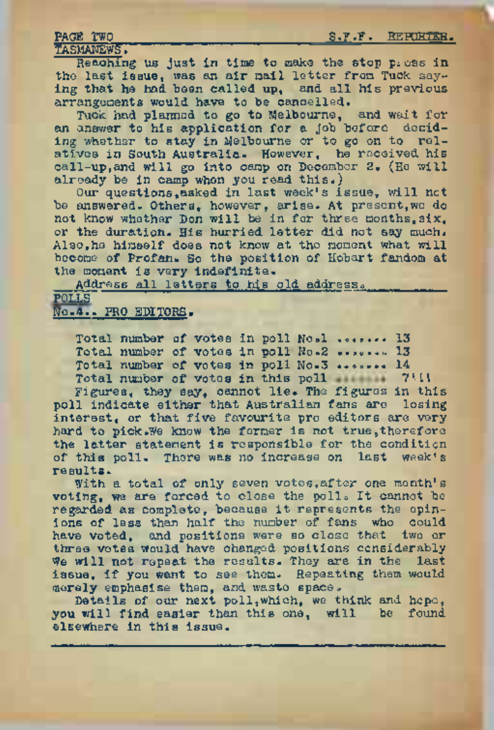#### PAGE TWO S.F.F. REPORTER.

TASMAWEWS?

Reaching us just in time to make the stop press in the last issue, was an air mail letter from Tuck saying that he had been called up, and all his previous arrangements would have to be cancelled.

Tuck had planned to go to Melbourne, and wait for an answer to his application for a job before deciding whether to stay in Melbourne or to go on to relatives in South Australia. However, he received his call-up,and will go into camp on December 2. (He will already be in camp when you read this.)

Our questions,asked in last week's issue, will not be answered. Others, however, arise. At present,we do not know whether Don will be in for three months,six, or the duration. His hurried letter did not say much. Also,he himself does not know at the moment what will become of Profan. So the position of Hobart fandom at the moment is very indefinite.

Address all letters to his old address.

#### polls" No.4.. PRO EDITORS.

Total number of votes in poll No.1 . ...... 13 Total number of votes in poll No.2 ....... 13 Total number of votes in poll No.3 ....... 14 Total number of votes in this poll 7111

Figures, they say, cannot lie. The figures in this poll indicate either that Australian fans are losing interest, or that five favourite pro editors are very hard to pick.We know the former is not true,therefore the latter statement is responsible for the condition of this poll. There was no increase on last week's results.

With a total of only seven votes,after one month'<sup>s</sup> voting, we are forced to close the poll. It cannot be regarded as complete, because it represents the opinions of less than half the number of fans who could have voted, and positions were so close that two or three votes would have changed positions considerably We will not repeat the results. They are in the last issue, if you want to see them. Repeating them would merely emphasise them, and waste space.

Details of our next poll,which, we think and hope, you will find easier than this one, will be found elsewhere in this issue.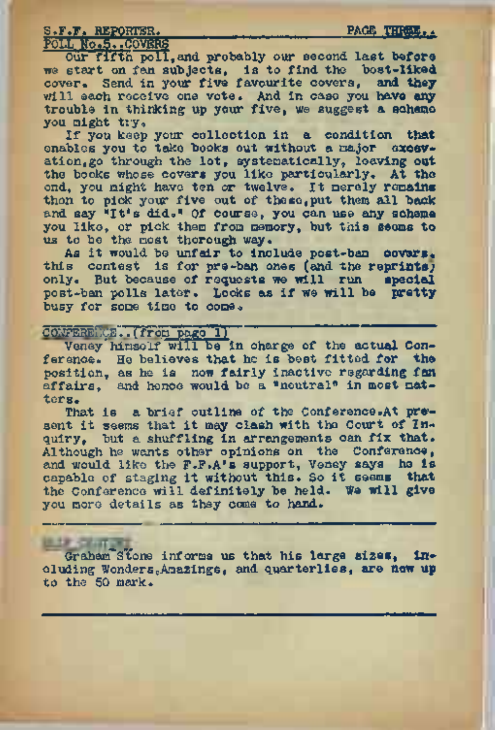#### S.F.F. REPORTER. THE PAGE THREE.

## POLL No.5. .COVERS

#### Our fifth poll, and probably our second last before we start on fan subjects, is to find the bost-liked cover. Send in your five favourite covers, and they will each receive one vote. And in case you have any trouble in thinking up your five, we suggest a scheme you might try.

If you keep your collection in a condition that<br>enables you to take books out without a major excevation, go through the lot, systematically, leaving out the books whose covers you like particularly. At the end, you might have ten or twelve. It merely remains then to pick your five out of these, put them all back and say 'It's did." Of course, you can use any scheme you like, or pick them from memory, but this seems to us to be the most thorough way.

As it would be unfair to include post-ban covers. this contest is for pre-ban ones (and the reprints; only. But because of requests we will run special post-ban polls later. Looks as if we will be pretty busy for some time to come.

#### CONFERENCE..(from page 1)

Veney'himself will be in charge of the actual Conference. He believes that he is best fitted for the position, as he is now fairly inactive regarding fan affairs, and hence would be a "neutral" in most matters.

That is a brief outline of the Conference.At present it seems that it may clash with the Court of Inquiry, but a shuffling in arrangements can fix that. Although he wants other opinions on the Conference. and would like the F.F.A's support, Veney says he is capable of staging it without this. So it seems that the Conference will definitely be held. We will give you more details as they come to hand.

Graham Stone informs us that his large sizes. including Wonders?Amazings, and quarterlies, are now up to the 50 mark.